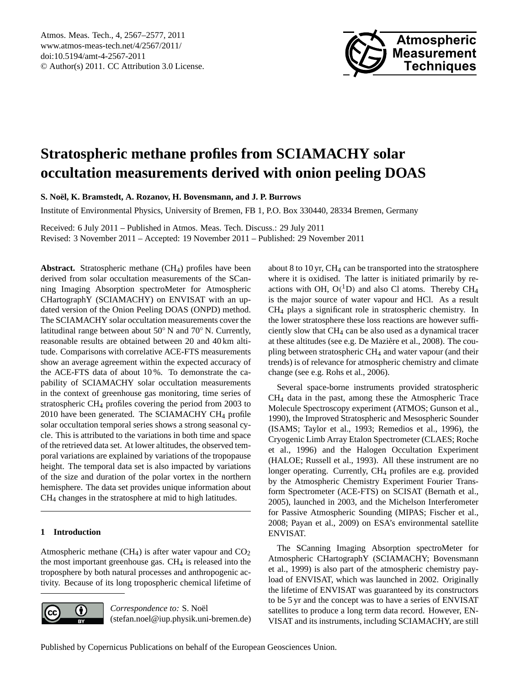

# <span id="page-0-0"></span>**Stratospheric methane profiles from SCIAMACHY solar occultation measurements derived with onion peeling DOAS**

**S. Noel, K. Bramstedt, A. Rozanov, H. Bovensmann, and J. P. Burrows ¨**

Institute of Environmental Physics, University of Bremen, FB 1, P.O. Box 330440, 28334 Bremen, Germany

Received: 6 July 2011 – Published in Atmos. Meas. Tech. Discuss.: 29 July 2011 Revised: 3 November 2011 – Accepted: 19 November 2011 – Published: 29 November 2011

Abstract. Stratospheric methane (CH<sub>4</sub>) profiles have been derived from solar occultation measurements of the SCanning Imaging Absorption spectroMeter for Atmospheric CHartographY (SCIAMACHY) on ENVISAT with an updated version of the Onion Peeling DOAS (ONPD) method. The SCIAMACHY solar occultation measurements cover the latitudinal range between about 50◦ N and 70◦ N. Currently, reasonable results are obtained between 20 and 40 km altitude. Comparisons with correlative ACE-FTS measurements show an average agreement within the expected accuracy of the ACE-FTS data of about 10 %. To demonstrate the capability of SCIAMACHY solar occultation measurements in the context of greenhouse gas monitoring, time series of stratospheric CH<sup>4</sup> profiles covering the period from 2003 to  $2010$  have been generated. The SCIAMACHY CH<sub>4</sub> profile solar occultation temporal series shows a strong seasonal cycle. This is attributed to the variations in both time and space of the retrieved data set. At lower altitudes, the observed temporal variations are explained by variations of the tropopause height. The temporal data set is also impacted by variations of the size and duration of the polar vortex in the northern hemisphere. The data set provides unique information about CH<sup>4</sup> changes in the stratosphere at mid to high latitudes.

# **1 Introduction**

Atmospheric methane (CH<sub>4</sub>) is after water vapour and  $CO<sub>2</sub>$ the most important greenhouse gas.  $CH<sub>4</sub>$  is released into the troposphere by both natural processes and anthropogenic activity. Because of its long tropospheric chemical lifetime of



Correspondence to: S. Noël (stefan.noel@iup.physik.uni-bremen.de) about 8 to 10 yr,  $CH_4$  can be transported into the stratosphere where it is oxidised. The latter is initiated primarily by reactions with OH,  $O(^1D)$  and also Cl atoms. Thereby CH<sub>4</sub> is the major source of water vapour and HCl. As a result CH<sup>4</sup> plays a significant role in stratospheric chemistry. In the lower stratosphere these loss reactions are however sufficiently slow that CH<sup>4</sup> can be also used as a dynamical tracer at these altitudes (see e.g. De Mazière et al., [2008\)](#page-9-0). The coupling between stratospheric CH<sup>4</sup> and water vapour (and their trends) is of relevance for atmospheric chemistry and climate change (see e.g. [Rohs et al.,](#page-10-0) [2006\)](#page-10-0).

Several space-borne instruments provided stratospheric CH<sup>4</sup> data in the past, among these the Atmospheric Trace Molecule Spectroscopy experiment (ATMOS; [Gunson et al.,](#page-9-1) [1990\)](#page-9-1), the Improved Stratospheric and Mesospheric Sounder (ISAMS; [Taylor et al.,](#page-10-1) [1993;](#page-10-1) [Remedios et al.,](#page-10-2) [1996\)](#page-10-2), the Cryogenic Limb Array Etalon Spectrometer (CLAES; [Roche](#page-10-3) [et al.,](#page-10-3) [1996\)](#page-10-3) and the Halogen Occultation Experiment (HALOE; [Russell et al.,](#page-10-4) [1993\)](#page-10-4). All these instrument are no longer operating. Currently, CH<sub>4</sub> profiles are e.g. provided by the Atmospheric Chemistry Experiment Fourier Transform Spectrometer (ACE-FTS) on SCISAT [\(Bernath et al.,](#page-9-2) [2005\)](#page-9-2), launched in 2003, and the Michelson Interferometer for Passive Atmospheric Sounding (MIPAS; [Fischer et al.,](#page-9-3) [2008;](#page-9-3) [Payan et al.,](#page-10-5) [2009\)](#page-10-5) on ESA's environmental satellite ENVISAT.

The SCanning Imaging Absorption spectroMeter for Atmospheric CHartographY (SCIAMACHY; [Bovensmann](#page-9-4) [et al.,](#page-9-4) [1999\)](#page-9-4) is also part of the atmospheric chemistry payload of ENVISAT, which was launched in 2002. Originally the lifetime of ENVISAT was guaranteed by its constructors to be 5 yr and the concept was to have a series of ENVISAT satellites to produce a long term data record. However, EN-VISAT and its instruments, including SCIAMACHY, are still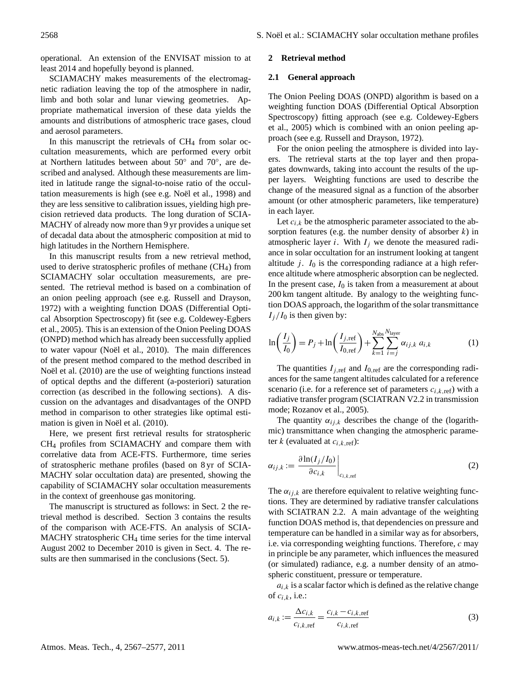operational. An extension of the ENVISAT mission to at least 2014 and hopefully beyond is planned.

SCIAMACHY makes measurements of the electromagnetic radiation leaving the top of the atmosphere in nadir, limb and both solar and lunar viewing geometries. Appropriate mathematical inversion of these data yields the amounts and distributions of atmospheric trace gases, cloud and aerosol parameters.

In this manuscript the retrievals of  $CH<sub>4</sub>$  from solar occultation measurements, which are performed every orbit at Northern latitudes between about 50◦ and 70◦ , are described and analysed. Although these measurements are limited in latitude range the signal-to-noise ratio of the occul-tation measurements is high (see e.g. Noël et al., [1998\)](#page-10-6) and they are less sensitive to calibration issues, yielding high precision retrieved data products. The long duration of SCIA-MACHY of already now more than 9 yr provides a unique set of decadal data about the atmospheric composition at mid to high latitudes in the Northern Hemisphere.

In this manuscript results from a new retrieval method, used to derive stratospheric profiles of methane  $(CH<sub>4</sub>)$  from SCIAMACHY solar occultation measurements, are presented. The retrieval method is based on a combination of an onion peeling approach (see e.g. [Russell and Drayson,](#page-10-7) [1972\)](#page-10-7) with a weighting function DOAS (Differential Optical Absorption Spectroscopy) fit (see e.g. [Coldewey-Egbers](#page-9-5) [et al.,](#page-9-5) [2005\)](#page-9-5). This is an extension of the Onion Peeling DOAS (ONPD) method which has already been successfully applied to water vapour (Noël et al., [2010\)](#page-10-8). The main differences of the present method compared to the method described in Noël et al. [\(2010\)](#page-10-8) are the use of weighting functions instead of optical depths and the different (a-posteriori) saturation correction (as described in the following sections). A discussion on the advantages and disadvantages of the ONPD method in comparison to other strategies like optimal estimation is given in Noël et al.  $(2010)$ .

Here, we present first retrieval results for stratospheric CH<sup>4</sup> profiles from SCIAMACHY and compare them with correlative data from ACE-FTS. Furthermore, time series of stratospheric methane profiles (based on 8 yr of SCIA-MACHY solar occultation data) are presented, showing the capability of SCIAMACHY solar occultation measurements in the context of greenhouse gas monitoring.

The manuscript is structured as follows: in Sect. [2](#page-1-0) the retrieval method is described. Section [3](#page-7-0) contains the results of the comparison with ACE-FTS. An analysis of SCIA-MACHY stratospheric CH<sup>4</sup> time series for the time interval August 2002 to December 2010 is given in Sect. [4.](#page-7-1) The results are then summarised in the conclusions (Sect. [5\)](#page-9-6).

## <span id="page-1-0"></span>**2 Retrieval method**

#### **2.1 General approach**

The Onion Peeling DOAS (ONPD) algorithm is based on a weighting function DOAS (Differential Optical Absorption Spectroscopy) fitting approach (see e.g. [Coldewey-Egbers](#page-9-5) [et al.,](#page-9-5) [2005\)](#page-9-5) which is combined with an onion peeling approach (see e.g. [Russell and Drayson,](#page-10-7) [1972\)](#page-10-7).

For the onion peeling the atmosphere is divided into layers. The retrieval starts at the top layer and then propagates downwards, taking into account the results of the upper layers. Weighting functions are used to describe the change of the measured signal as a function of the absorber amount (or other atmospheric parameters, like temperature) in each layer.

Let  $c_{i,k}$  be the atmospheric parameter associated to the absorption features (e.g. the number density of absorber  $k$ ) in atmospheric layer i. With  $I_i$  we denote the measured radiance in solar occultation for an instrument looking at tangent altitude  $j$ .  $I_0$  is the corresponding radiance at a high reference altitude where atmospheric absorption can be neglected. In the present case,  $I_0$  is taken from a measurement at about 200 km tangent altitude. By analogy to the weighting function DOAS approach, the logarithm of the solar transmittance  $I_i / I_0$  is then given by:

$$
\ln\left(\frac{I_j}{I_0}\right) = P_j + \ln\left(\frac{I_{j,\text{ref}}}{I_{0,\text{ref}}}\right) + \sum_{k=1}^{N_{\text{abs}}} \sum_{i=j}^{N_{\text{layer}}} \alpha_{i,j,k} \ a_{i,k} \tag{1}
$$

The quantities  $I_{i,\text{ref}}$  and  $I_{0,\text{ref}}$  are the corresponding radiances for the same tangent altitudes calculated for a reference scenario (i.e. for a reference set of parameters  $c_{i,k,\text{ref}}$ ) with a radiative transfer program (SCIATRAN V2.2 in transmission mode; [Rozanov et al.,](#page-10-9) [2005\)](#page-10-9).

The quantity  $\alpha_{i,j,k}$  describes the change of the (logarithmic) transmittance when changing the atmospheric parameter k (evaluated at  $c_{i,k,\text{ref}}$ ):

$$
\alpha_{ij,k} := \frac{\partial \ln(I_j/I_0)}{\partial c_{i,k}} \bigg|_{c_{i,k,\text{ref}}}
$$
\n(2)

The  $\alpha_{i,j,k}$  are therefore equivalent to relative weighting functions. They are determined by radiative transfer calculations with SCIATRAN 2.2. A main advantage of the weighting function DOAS method is, that dependencies on pressure and temperature can be handled in a similar way as for absorbers, i.e. via corresponding weighting functions. Therefore,  $c$  may in principle be any parameter, which influences the measured (or simulated) radiance, e.g. a number density of an atmospheric constituent, pressure or temperature.

 $a_{i,k}$  is a scalar factor which is defined as the relative change of  $c_{i,k}$ , i.e.:

<span id="page-1-1"></span>
$$
a_{i,k} := \frac{\Delta c_{i,k}}{c_{i,k,\text{ref}}} = \frac{c_{i,k} - c_{i,k,\text{ref}}}{c_{i,k,\text{ref}}}
$$
(3)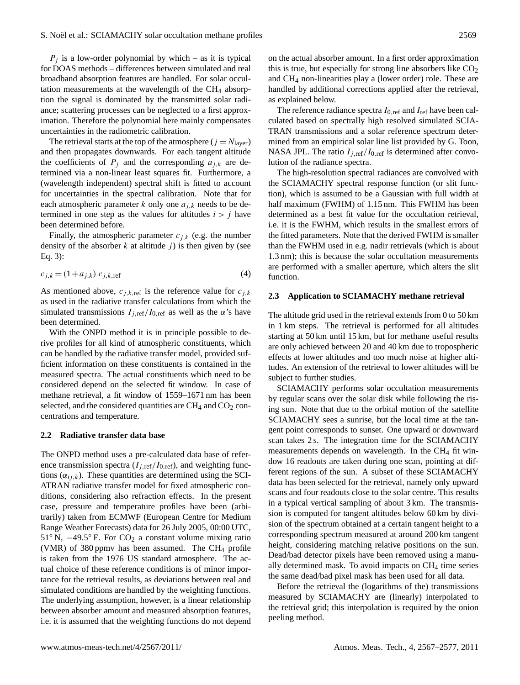$P_i$  is a low-order polynomial by which – as it is typical for DOAS methods – differences between simulated and real broadband absorption features are handled. For solar occultation measurements at the wavelength of the CH<sub>4</sub> absorption the signal is dominated by the transmitted solar radiance; scattering processes can be neglected to a first approximation. Therefore the polynomial here mainly compensates uncertainties in the radiometric calibration.

The retrieval starts at the top of the atmosphere ( $j = N<sub>layer</sub>$ ) and then propagates downwards. For each tangent altitude the coefficients of  $P_i$  and the corresponding  $a_{i,k}$  are determined via a non-linear least squares fit. Furthermore, a (wavelength independent) spectral shift is fitted to account for uncertainties in the spectral calibration. Note that for each atmospheric parameter k only one  $a_{j,k}$  needs to be determined in one step as the values for altitudes  $i > j$  have been determined before.

Finally, the atmospheric parameter  $c_{j,k}$  (e.g. the number density of the absorber  $k$  at altitude  $j$ ) is then given by (see Eq. [3\)](#page-1-1):

$$
c_{j,k} = (1 + a_{j,k}) c_{j,k,\text{ref}}
$$
\n
$$
(4)
$$

As mentioned above,  $c_{i,k,\text{ref}}$  is the reference value for  $c_{i,k}$ as used in the radiative transfer calculations from which the simulated transmissions  $I_{j,\text{ref}}/I_{0,\text{ref}}$  as well as the  $\alpha$ 's have been determined.

With the ONPD method it is in principle possible to derive profiles for all kind of atmospheric constituents, which can be handled by the radiative transfer model, provided sufficient information on these constituents is contained in the measured spectra. The actual constituents which need to be considered depend on the selected fit window. In case of methane retrieval, a fit window of 1559–1671 nm has been selected, and the considered quantities are  $CH_4$  and  $CO_2$  concentrations and temperature.

#### **2.2 Radiative transfer data base**

The ONPD method uses a pre-calculated data base of reference transmission spectra ( $I_{j,\text{ref}}/I_{0,\text{ref}}$ ), and weighting functions  $(\alpha_{i,j,k})$ . These quantities are determined using the SCI-ATRAN radiative transfer model for fixed atmospheric conditions, considering also refraction effects. In the present case, pressure and temperature profiles have been (arbitrarily) taken from ECMWF (European Centre for Medium Range Weather Forecasts) data for 26 July 2005, 00:00 UTC,  $51°$  N,  $-49.5°$  E. For CO<sub>2</sub> a constant volume mixing ratio (VMR) of  $380$  ppmv has been assumed. The CH<sub>4</sub> profile is taken from the 1976 US standard atmosphere. The actual choice of these reference conditions is of minor importance for the retrieval results, as deviations between real and simulated conditions are handled by the weighting functions. The underlying assumption, however, is a linear relationship between absorber amount and measured absorption features, i.e. it is assumed that the weighting functions do not depend on the actual absorber amount. In a first order approximation this is true, but especially for strong line absorbers like  $CO<sub>2</sub>$ and CH<sup>4</sup> non-linearities play a (lower order) role. These are handled by additional corrections applied after the retrieval, as explained below.

The reference radiance spectra  $I_{0,\text{ref}}$  and  $I_{\text{ref}}$  have been calculated based on spectrally high resolved simulated SCIA-TRAN transmissions and a solar reference spectrum determined from an empirical solar line list provided by G. Toon, NASA JPL. The ratio  $I_{j,\text{ref}}/I_{0,\text{ref}}$  is determined after convolution of the radiance spectra.

The high-resolution spectral radiances are convolved with the SCIAMACHY spectral response function (or slit function), which is assumed to be a Gaussian with full width at half maximum (FWHM) of 1.15 nm. This FWHM has been determined as a best fit value for the occultation retrieval, i.e. it is the FWHM, which results in the smallest errors of the fitted parameters. Note that the derived FWHM is smaller than the FWHM used in e.g. nadir retrievals (which is about 1.3 nm); this is because the solar occultation measurements are performed with a smaller aperture, which alters the slit function.

#### **2.3 Application to SCIAMACHY methane retrieval**

The altitude grid used in the retrieval extends from 0 to 50 km in 1 km steps. The retrieval is performed for all altitudes starting at 50 km until 15 km, but for methane useful results are only achieved between 20 and 40 km due to tropospheric effects at lower altitudes and too much noise at higher altitudes. An extension of the retrieval to lower altitudes will be subject to further studies.

SCIAMACHY performs solar occultation measurements by regular scans over the solar disk while following the rising sun. Note that due to the orbital motion of the satellite SCIAMACHY sees a sunrise, but the local time at the tangent point corresponds to sunset. One upward or downward scan takes 2 s. The integration time for the SCIAMACHY measurements depends on wavelength. In the  $CH<sub>4</sub>$  fit window 16 readouts are taken during one scan, pointing at different regions of the sun. A subset of these SCIAMACHY data has been selected for the retrieval, namely only upward scans and four readouts close to the solar centre. This results in a typical vertical sampling of about 3 km. The transmission is computed for tangent altitudes below 60 km by division of the spectrum obtained at a certain tangent height to a corresponding spectrum measured at around 200 km tangent height, considering matching relative positions on the sun. Dead/bad detector pixels have been removed using a manually determined mask. To avoid impacts on CH<sup>4</sup> time series the same dead/bad pixel mask has been used for all data.

Before the retrieval the (logarithms of the) transmissions measured by SCIAMACHY are (linearly) interpolated to the retrieval grid; this interpolation is required by the onion peeling method.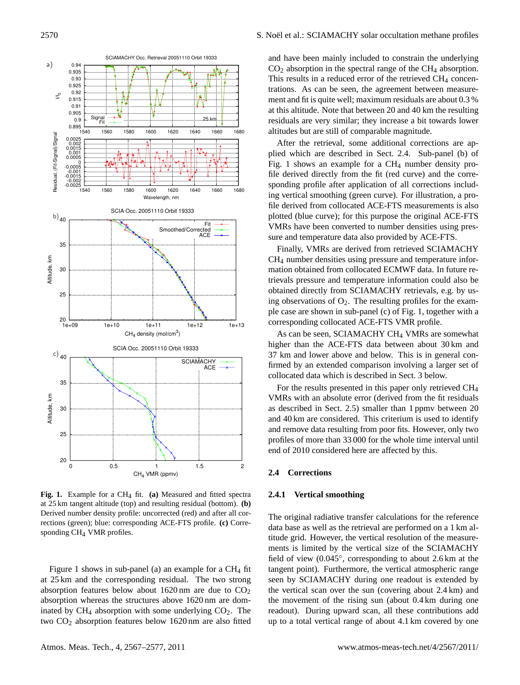

<span id="page-3-0"></span>Fig. 1. Example for a CH<sub>4</sub> fit. **(a)** Measured and fitted spectra at 25 km tangent altitude (top) and resulting residual (bottom). **(b)** Derived number density profile: uncorrected (red) and after all corrections (green); blue: corresponding ACE-FTS profile. **(c)** Corresponding CH4 VMR profiles.

Figure [1](#page-3-0) shows in sub-panel (a) an example for a  $CH<sub>4</sub>$  fit at 25 km and the corresponding residual. The two strong absorption features below about  $1620 \text{ nm}$  are due to  $CO<sub>2</sub>$ absorption whereas the structures above 1620 nm are dominated by  $CH_4$  absorption with some underlying  $CO_2$ . The two CO<sup>2</sup> absorption features below 1620 nm are also fitted and have been mainly included to constrain the underlying  $CO<sub>2</sub>$  absorption in the spectral range of the CH<sub>4</sub> absorption. This results in a reduced error of the retrieved CH<sub>4</sub> concentrations. As can be seen, the agreement between measurement and fit is quite well; maximum residuals are about 0.3 % at this altitude. Note that between 20 and 40 km the resulting residuals are very similar; they increase a bit towards lower altitudes but are still of comparable magnitude.

After the retrieval, some additional corrections are applied which are described in Sect. [2.4.](#page-3-1) Sub-panel (b) of Fig. [1](#page-3-0) shows an example for a  $CH_4$  number density profile derived directly from the fit (red curve) and the corresponding profile after application of all corrections including vertical smoothing (green curve). For illustration, a profile derived from collocated ACE-FTS measurements is also plotted (blue curve); for this purpose the original ACE-FTS VMRs have been converted to number densities using pressure and temperature data also provided by ACE-FTS.

Finally, VMRs are derived from retrieved SCIAMACHY CH<sup>4</sup> number densities using pressure and temperature information obtained from collocated ECMWF data. In future retrievals pressure and temperature information could also be obtained directly from SCIAMACHY retrievals, e.g. by using observations of  $O_2$ . The resulting profiles for the example case are shown in sub-panel (c) of Fig. [1,](#page-3-0) together with a corresponding collocated ACE-FTS VMR profile.

As can be seen, SCIAMACHY CH<sup>4</sup> VMRs are somewhat higher than the ACE-FTS data between about 30 km and 37 km and lower above and below. This is in general confirmed by an extended comparison involving a larger set of collocated data which is described in Sect. [3](#page-7-0) below.

For the results presented in this paper only retrieved CH<sup>4</sup> VMRs with an absolute error (derived from the fit residuals as described in Sect. [2.5\)](#page-5-0) smaller than 1 ppmv between 20 and 40 km are considered. This criterium is used to identify and remove data resulting from poor fits. However, only two profiles of more than 33 000 for the whole time interval until end of 2010 considered here are affected by this.

# <span id="page-3-1"></span>**2.4 Corrections**

#### **2.4.1 Vertical smoothing**

The original radiative transfer calculations for the reference data base as well as the retrieval are performed on a 1 km altitude grid. However, the vertical resolution of the measurements is limited by the vertical size of the SCIAMACHY field of view (0.045°, corresponding to about 2.6 km at the tangent point). Furthermore, the vertical atmospheric range seen by SCIAMACHY during one readout is extended by the vertical scan over the sun (covering about 2.4 km) and the movement of the rising sun (about 0.4 km during one readout). During upward scan, all these contributions add up to a total vertical range of about 4.1 km covered by one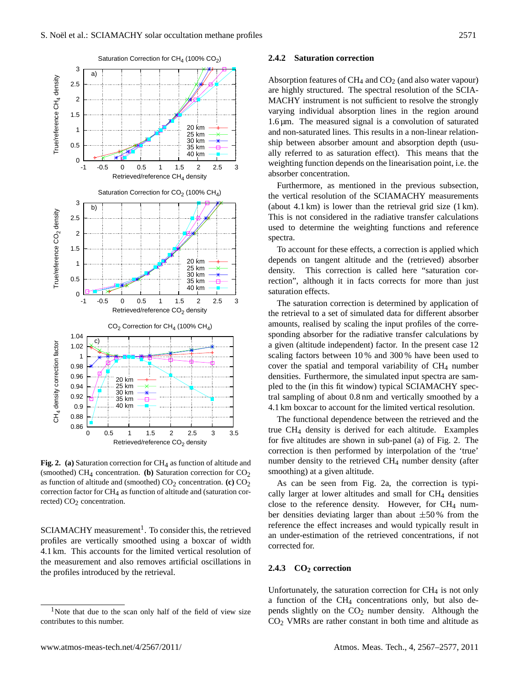

<span id="page-4-1"></span>**Fig. 2.** (a) Saturation correction for CH<sub>4</sub> as function of altitude and (smoothed) CH<sub>4</sub> concentration. **(b)** Saturation correction for  $CO<sub>2</sub>$ as function of altitude and (smoothed)  $CO_2$  concentration. **(c)**  $CO_2$ correction factor for  $CH_4$  as function of altitude and (saturation corrected)  $CO<sub>2</sub>$  concentration.

 $SCIAMACHY$  measurement<sup>[1](#page-4-0)</sup>. To consider this, the retrieved profiles are vertically smoothed using a boxcar of width 4.1 km. This accounts for the limited vertical resolution of the measurement and also removes artificial oscillations in the profiles introduced by the retrieval.

#### **2.4.2 Saturation correction**

Absorption features of  $CH_4$  and  $CO_2$  (and also water vapour) are highly structured. The spectral resolution of the SCIA-MACHY instrument is not sufficient to resolve the strongly varying individual absorption lines in the region around 1.6 µm. The measured signal is a convolution of saturated and non-saturated lines. This results in a non-linear relationship between absorber amount and absorption depth (usually referred to as saturation effect). This means that the weighting function depends on the linearisation point, i.e. the absorber concentration.

Furthermore, as mentioned in the previous subsection, the vertical resolution of the SCIAMACHY measurements (about 4.1 km) is lower than the retrieval grid size (1 km). This is not considered in the radiative transfer calculations used to determine the weighting functions and reference spectra.

To account for these effects, a correction is applied which depends on tangent altitude and the (retrieved) absorber density. This correction is called here "saturation correction", although it in facts corrects for more than just saturation effects.

The saturation correction is determined by application of the retrieval to a set of simulated data for different absorber amounts, realised by scaling the input profiles of the corresponding absorber for the radiative transfer calculations by a given (altitude independent) factor. In the present case 12 scaling factors between 10 % and 300 % have been used to cover the spatial and temporal variability of  $CH<sub>4</sub>$  number densities. Furthermore, the simulated input spectra are sampled to the (in this fit window) typical SCIAMACHY spectral sampling of about 0.8 nm and vertically smoothed by a 4.1 km boxcar to account for the limited vertical resolution.

The functional dependence between the retrieved and the true CH<sup>4</sup> density is derived for each altitude. Examples for five altitudes are shown in sub-panel (a) of Fig. [2.](#page-4-1) The correction is then performed by interpolation of the 'true' number density to the retrieved CH<sup>4</sup> number density (after smoothing) at a given altitude.

As can be seen from Fig. [2a](#page-4-1), the correction is typically larger at lower altitudes and small for  $CH<sub>4</sub>$  densities close to the reference density. However, for  $CH_4$  number densities deviating larger than about  $\pm 50\%$  from the reference the effect increases and would typically result in an under-estimation of the retrieved concentrations, if not corrected for.

# **2.4.3 CO<sup>2</sup> correction**

Unfortunately, the saturation correction for  $CH<sub>4</sub>$  is not only a function of the  $CH_4$  concentrations only, but also depends slightly on the  $CO<sub>2</sub>$  number density. Although the CO<sup>2</sup> VMRs are rather constant in both time and altitude as

<span id="page-4-0"></span><sup>&</sup>lt;sup>1</sup>Note that due to the scan only half of the field of view size contributes to this number.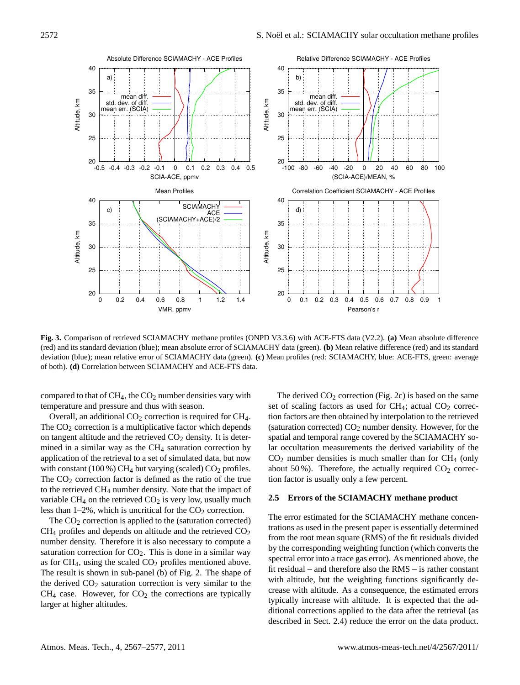

<span id="page-5-1"></span>**Fig. 3.** Comparison of retrieved SCIAMACHY methane profiles (ONPD V3.3.6) with ACE-FTS data (V2.2). **(a)** Mean absolute difference (red) and its standard deviation (blue); mean absolute error of SCIAMACHY data (green). **(b)** Mean relative difference (red) and its standard deviation (blue); mean relative error of SCIAMACHY data (green). **(c)** Mean profiles (red: SCIAMACHY, blue: ACE-FTS, green: average of both). **(d)** Correlation between SCIAMACHY and ACE-FTS data.

compared to that of  $CH_4$ , the  $CO_2$  number densities vary with temperature and pressure and thus with season.

Overall, an additional  $CO<sub>2</sub>$  correction is required for CH<sub>4</sub>. The  $CO<sub>2</sub>$  correction is a multiplicative factor which depends on tangent altitude and the retrieved  $CO<sub>2</sub>$  density. It is determined in a similar way as the  $CH<sub>4</sub>$  saturation correction by application of the retrieval to a set of simulated data, but now with constant  $(100\%)$  CH<sub>4</sub> but varying (scaled) CO<sub>2</sub> profiles. The  $CO<sub>2</sub>$  correction factor is defined as the ratio of the true to the retrieved CH<sup>4</sup> number density. Note that the impact of variable  $CH_4$  on the retrieved  $CO_2$  is very low, usually much less than  $1-2\%$ , which is uncritical for the  $CO<sub>2</sub>$  correction.

The  $CO<sub>2</sub>$  correction is applied to the (saturation corrected)  $CH<sub>4</sub>$  profiles and depends on altitude and the retrieved  $CO<sub>2</sub>$ number density. Therefore it is also necessary to compute a saturation correction for  $CO<sub>2</sub>$ . This is done in a similar way as for  $CH_4$ , using the scaled  $CO_2$  profiles mentioned above. The result is shown in sub-panel (b) of Fig. [2.](#page-4-1) The shape of the derived  $CO<sub>2</sub>$  saturation correction is very similar to the  $CH<sub>4</sub>$  case. However, for  $CO<sub>2</sub>$  the corrections are typically larger at higher altitudes.

The derived  $CO<sub>2</sub>$  correction (Fig. [2c](#page-4-1)) is based on the same set of scaling factors as used for  $CH<sub>4</sub>$ ; actual  $CO<sub>2</sub>$  correction factors are then obtained by interpolation to the retrieved (saturation corrected)  $CO<sub>2</sub>$  number density. However, for the spatial and temporal range covered by the SCIAMACHY solar occultation measurements the derived variability of the  $CO<sub>2</sub>$  number densities is much smaller than for  $CH<sub>4</sub>$  (only about 50%). Therefore, the actually required  $CO<sub>2</sub>$  correction factor is usually only a few percent.

## <span id="page-5-0"></span>**2.5 Errors of the SCIAMACHY methane product**

The error estimated for the SCIAMACHY methane concentrations as used in the present paper is essentially determined from the root mean square (RMS) of the fit residuals divided by the corresponding weighting function (which converts the spectral error into a trace gas error). As mentioned above, the fit residual – and therefore also the RMS – is rather constant with altitude, but the weighting functions significantly decrease with altitude. As a consequence, the estimated errors typically increase with altitude. It is expected that the additional corrections applied to the data after the retrieval (as described in Sect. [2.4\)](#page-3-1) reduce the error on the data product.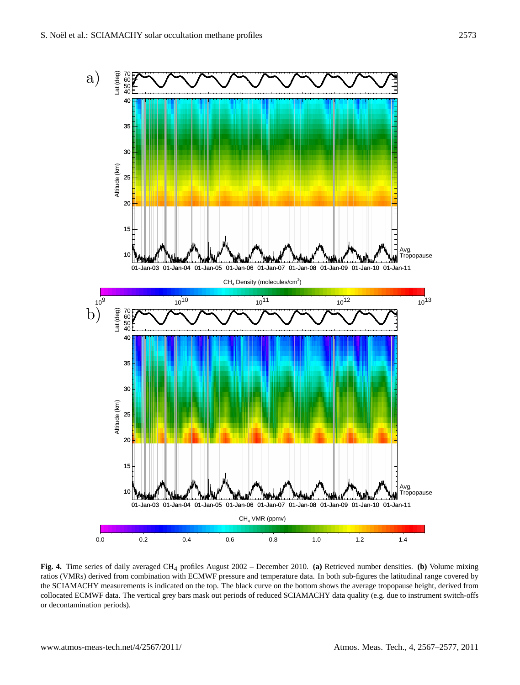

<span id="page-6-0"></span>**Fig. 4.** Time series of daily averaged CH4 profiles August 2002 – December 2010. **(a)** Retrieved number densities. **(b)** Volume mixing ratios (VMRs) derived from combination with ECMWF pressure and temperature data. In both sub-figures the latitudinal range covered by the SCIAMACHY measurements is indicated on the top. The black curve on the bottom shows the average tropopause height, derived from collocated ECMWF data. The vertical grey bars mask out periods of reduced SCIAMACHY data quality (e.g. due to instrument switch-offs or decontamination periods).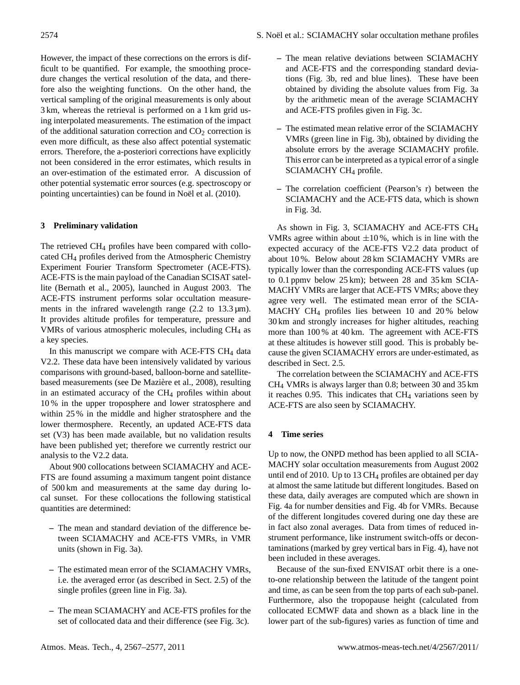However, the impact of these corrections on the errors is difficult to be quantified. For example, the smoothing procedure changes the vertical resolution of the data, and therefore also the weighting functions. On the other hand, the vertical sampling of the original measurements is only about 3 km, whereas the retrieval is performed on a 1 km grid using interpolated measurements. The estimation of the impact of the additional saturation correction and  $CO<sub>2</sub>$  correction is even more difficult, as these also affect potential systematic errors. Therefore, the a-posteriori corrections have explicitly not been considered in the error estimates, which results in an over-estimation of the estimated error. A discussion of other potential systematic error sources (e.g. spectroscopy or pointing uncertainties) can be found in Noël et al.  $(2010)$ .

# <span id="page-7-0"></span>**3 Preliminary validation**

The retrieved CH<sup>4</sup> profiles have been compared with collocated CH<sup>4</sup> profiles derived from the Atmospheric Chemistry Experiment Fourier Transform Spectrometer (ACE-FTS). ACE-FTS is the main payload of the Canadian SCISAT satellite [\(Bernath et al.,](#page-9-2) [2005\)](#page-9-2), launched in August 2003. The ACE-FTS instrument performs solar occultation measurements in the infrared wavelength range  $(2.2 \text{ to } 13.3 \text{ µm})$ . It provides altitude profiles for temperature, pressure and VMRs of various atmospheric molecules, including CH<sup>4</sup> as a key species.

In this manuscript we compare with ACE-FTS CH $_4$  data V2.2. These data have been intensively validated by various comparisons with ground-based, balloon-borne and satellite-based measurements (see De Mazière et al., [2008\)](#page-9-0), resulting in an estimated accuracy of the  $CH<sub>4</sub>$  profiles within about 10 % in the upper troposphere and lower stratosphere and within 25 % in the middle and higher stratosphere and the lower thermosphere. Recently, an updated ACE-FTS data set (V3) has been made available, but no validation results have been published yet; therefore we currently restrict our analysis to the V2.2 data.

About 900 collocations between SCIAMACHY and ACE-FTS are found assuming a maximum tangent point distance of 500 km and measurements at the same day during local sunset. For these collocations the following statistical quantities are determined:

- **–** The mean and standard deviation of the difference between SCIAMACHY and ACE-FTS VMRs, in VMR units (shown in Fig. [3a](#page-5-1)).
- **–** The estimated mean error of the SCIAMACHY VMRs, i.e. the averaged error (as described in Sect. [2.5\)](#page-5-0) of the single profiles (green line in Fig. [3a](#page-5-1)).
- **–** The mean SCIAMACHY and ACE-FTS profiles for the set of collocated data and their difference (see Fig. [3c](#page-5-1)).
- **–** The mean relative deviations between SCIAMACHY and ACE-FTS and the corresponding standard deviations (Fig. [3b](#page-5-1), red and blue lines). These have been obtained by dividing the absolute values from Fig. [3a](#page-5-1) by the arithmetic mean of the average SCIAMACHY and ACE-FTS profiles given in Fig. [3c](#page-5-1).
- **–** The estimated mean relative error of the SCIAMACHY VMRs (green line in Fig. [3b](#page-5-1)), obtained by dividing the absolute errors by the average SCIAMACHY profile. This error can be interpreted as a typical error of a single SCIAMACHY CH<sub>4</sub> profile.
- **–** The correlation coefficient (Pearson's r) between the SCIAMACHY and the ACE-FTS data, which is shown in Fig. [3d](#page-5-1).

As shown in Fig. [3,](#page-5-1) SCIAMACHY and ACE-FTS CH<sup>4</sup> VMRs agree within about  $\pm 10\%$ , which is in line with the expected accuracy of the ACE-FTS V2.2 data product of about 10 %. Below about 28 km SCIAMACHY VMRs are typically lower than the corresponding ACE-FTS values (up to 0.1 ppmv below 25 km); between 28 and 35 km SCIA-MACHY VMRs are larger that ACE-FTS VMRs; above they agree very well. The estimated mean error of the SCIA-MACHY CH<sub>4</sub> profiles lies between 10 and 20% below 30 km and strongly increases for higher altitudes, reaching more than 100 % at 40 km. The agreement with ACE-FTS at these altitudes is however still good. This is probably because the given SCIAMACHY errors are under-estimated, as described in Sect. [2.5.](#page-5-0)

The correlation between the SCIAMACHY and ACE-FTS CH<sup>4</sup> VMRs is always larger than 0.8; between 30 and 35 km it reaches  $0.95$ . This indicates that CH<sub>4</sub> variations seen by ACE-FTS are also seen by SCIAMACHY.

# <span id="page-7-1"></span>**4 Time series**

Up to now, the ONPD method has been applied to all SCIA-MACHY solar occultation measurements from August 2002 until end of 2010. Up to 13 CH<sup>4</sup> profiles are obtained per day at almost the same latitude but different longitudes. Based on these data, daily averages are computed which are shown in Fig. [4a](#page-6-0) for number densities and Fig. [4b](#page-6-0) for VMRs. Because of the different longitudes covered during one day these are in fact also zonal averages. Data from times of reduced instrument performance, like instrument switch-offs or decontaminations (marked by grey vertical bars in Fig. [4\)](#page-6-0), have not been included in these averages.

Because of the sun-fixed ENVISAT orbit there is a oneto-one relationship between the latitude of the tangent point and time, as can be seen from the top parts of each sub-panel. Furthermore, also the tropopause height (calculated from collocated ECMWF data and shown as a black line in the lower part of the sub-figures) varies as function of time and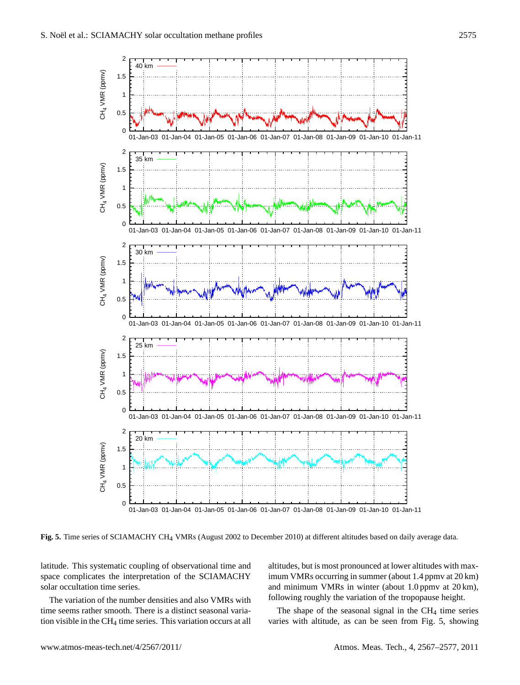

<span id="page-8-0"></span>**Fig. 5.** Time series of SCIAMACHY CH4 VMRs (August 2002 to December 2010) at different altitudes based on daily average data.

latitude. This systematic coupling of observational time and space complicates the interpretation of the SCIAMACHY solar occultation time series.

The variation of the number densities and also VMRs with time seems rather smooth. There is a distinct seasonal variation visible in the CH<sup>4</sup> time series. This variation occurs at all altitudes, but is most pronounced at lower altitudes with maximum VMRs occurring in summer (about 1.4 ppmv at 20 km) and minimum VMRs in winter (about 1.0 ppmv at 20 km), following roughly the variation of the tropopause height.

The shape of the seasonal signal in the  $CH<sub>4</sub>$  time series varies with altitude, as can be seen from Fig. [5,](#page-8-0) showing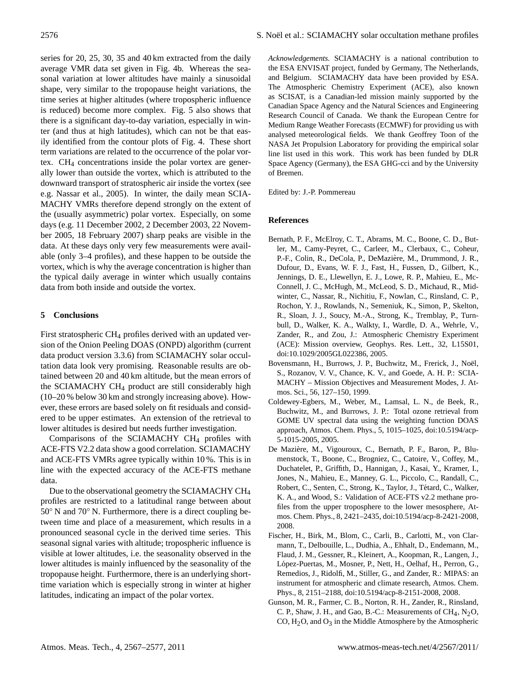series for 20, 25, 30, 35 and 40 km extracted from the daily average VMR data set given in Fig. [4b](#page-6-0). Whereas the seasonal variation at lower altitudes have mainly a sinusoidal shape, very similar to the tropopause height variations, the time series at higher altitudes (where tropospheric influence is reduced) become more complex. Fig. [5](#page-8-0) also shows that there is a significant day-to-day variation, especially in winter (and thus at high latitudes), which can not be that easily identified from the contour plots of Fig. [4.](#page-6-0) These short term variations are related to the occurrence of the polar vortex. CH<sup>4</sup> concentrations inside the polar vortex are generally lower than outside the vortex, which is attributed to the downward transport of stratospheric air inside the vortex (see e.g. [Nassar et al.,](#page-10-10) [2005\)](#page-10-10). In winter, the daily mean SCIA-MACHY VMRs therefore depend strongly on the extent of the (usually asymmetric) polar vortex. Especially, on some days (e.g. 11 December 2002, 2 December 2003, 22 November 2005, 18 February 2007) sharp peaks are visible in the data. At these days only very few measurements were available (only 3–4 profiles), and these happen to be outside the vortex, which is why the average concentration is higher than the typical daily average in winter which usually contains data from both inside and outside the vortex.

# <span id="page-9-6"></span>**5 Conclusions**

First stratospheric CH<sub>4</sub> profiles derived with an updated version of the Onion Peeling DOAS (ONPD) algorithm (current data product version 3.3.6) from SCIAMACHY solar occultation data look very promising. Reasonable results are obtained between 20 and 40 km altitude, but the mean errors of the SCIAMACHY CH<sup>4</sup> product are still considerably high (10–20 % below 30 km and strongly increasing above). However, these errors are based solely on fit residuals and considered to be upper estimates. An extension of the retrieval to lower altitudes is desired but needs further investigation.

Comparisons of the SCIAMACHY CH<sub>4</sub> profiles with ACE-FTS V2.2 data show a good correlation. SCIAMACHY and ACE-FTS VMRs agree typically within 10 %. This is in line with the expected accuracy of the ACE-FTS methane data.

Due to the observational geometry the SCIAMACHY CH<sup>4</sup> profiles are restricted to a latitudinal range between about 50<sup>°</sup> N and 70<sup>°</sup> N. Furthermore, there is a direct coupling between time and place of a measurement, which results in a pronounced seasonal cycle in the derived time series. This seasonal signal varies with altitude; tropospheric influence is visible at lower altitudes, i.e. the seasonality observed in the lower altitudes is mainly influenced by the seasonality of the tropopause height. Furthermore, there is an underlying shorttime variation which is especially strong in winter at higher latitudes, indicating an impact of the polar vortex.

*Acknowledgements.* SCIAMACHY is a national contribution to the ESA ENVISAT project, funded by Germany, The Netherlands, and Belgium. SCIAMACHY data have been provided by ESA. The Atmospheric Chemistry Experiment (ACE), also known as SCISAT, is a Canadian-led mission mainly supported by the Canadian Space Agency and the Natural Sciences and Engineering Research Council of Canada. We thank the European Centre for Medium Range Weather Forecasts (ECMWF) for providing us with analysed meteorological fields. We thank Geoffrey Toon of the NASA Jet Propulsion Laboratory for providing the empirical solar line list used in this work. This work has been funded by DLR Space Agency (Germany), the ESA GHG-cci and by the University of Bremen.

Edited by: J.-P. Pommereau

#### **References**

- <span id="page-9-2"></span>Bernath, P. F., McElroy, C. T., Abrams, M. C., Boone, C. D., Butler, M., Camy-Peyret, C., Carleer, M., Clerbaux, C., Coheur, P.-F., Colin, R., DeCola, P., DeMaziere, M., Drummond, J. R., ` Dufour, D., Evans, W. F. J., Fast, H., Fussen, D., Gilbert, K., Jennings, D. E., Llewellyn, E. J., Lowe, R. P., Mahieu, E., Mc-Connell, J. C., McHugh, M., McLeod, S. D., Michaud, R., Midwinter, C., Nassar, R., Nichitiu, F., Nowlan, C., Rinsland, C. P., Rochon, Y. J., Rowlands, N., Semeniuk, K., Simon, P., Skelton, R., Sloan, J. J., Soucy, M.-A., Strong, K., Tremblay, P., Turnbull, D., Walker, K. A., Walkty, I., Wardle, D. A., Wehrle, V., Zander, R., and Zou, J.: Atmospheric Chemistry Experiment (ACE): Mission overview, Geophys. Res. Lett., 32, L15S01, [doi:10.1029/2005GL022386,](http://dx.doi.org/10.1029/2005GL022386) 2005.
- <span id="page-9-4"></span>Bovensmann, H., Burrows, J. P., Buchwitz, M., Frerick, J., Noël, S., Rozanov, V. V., Chance, K. V., and Goede, A. H. P.: SCIA-MACHY – Mission Objectives and Measurement Modes, J. Atmos. Sci., 56, 127–150, 1999.
- <span id="page-9-5"></span>Coldewey-Egbers, M., Weber, M., Lamsal, L. N., de Beek, R., Buchwitz, M., and Burrows, J. P.: Total ozone retrieval from GOME UV spectral data using the weighting function DOAS approach, Atmos. Chem. Phys., 5, 1015–1025, [doi:10.5194/acp-](http://dx.doi.org/10.5194/acp-5-1015-2005)[5-1015-2005,](http://dx.doi.org/10.5194/acp-5-1015-2005) 2005.
- <span id="page-9-0"></span>De Mazière, M., Vigouroux, C., Bernath, P. F., Baron, P., Blumenstock, T., Boone, C., Brogniez, C., Catoire, V., Coffey, M., Duchatelet, P., Griffith, D., Hannigan, J., Kasai, Y., Kramer, I., Jones, N., Mahieu, E., Manney, G. L., Piccolo, C., Randall, C., Robert, C., Senten, C., Strong, K., Taylor, J., Tétard, C., Walker, K. A., and Wood, S.: Validation of ACE-FTS v2.2 methane profiles from the upper troposphere to the lower mesosphere, Atmos. Chem. Phys., 8, 2421–2435, [doi:10.5194/acp-8-2421-2008,](http://dx.doi.org/10.5194/acp-8-2421-2008) 2008.
- <span id="page-9-3"></span>Fischer, H., Birk, M., Blom, C., Carli, B., Carlotti, M., von Clarmann, T., Delbouille, L., Dudhia, A., Ehhalt, D., Endemann, M., Flaud, J. M., Gessner, R., Kleinert, A., Koopman, R., Langen, J., López-Puertas, M., Mosner, P., Nett, H., Oelhaf, H., Perron, G., Remedios, J., Ridolfi, M., Stiller, G., and Zander, R.: MIPAS: an instrument for atmospheric and climate research, Atmos. Chem. Phys., 8, 2151–2188, [doi:10.5194/acp-8-2151-2008,](http://dx.doi.org/10.5194/acp-8-2151-2008) 2008.
- <span id="page-9-1"></span>Gunson, M. R., Farmer, C. B., Norton, R. H., Zander, R., Rinsland, C. P., Shaw, J. H., and Gao, B.-C.: Measurements of  $CH_4$ ,  $N_2O$ , CO,  $H<sub>2</sub>O$ , and  $O<sub>3</sub>$  in the Middle Atmosphere by the Atmospheric